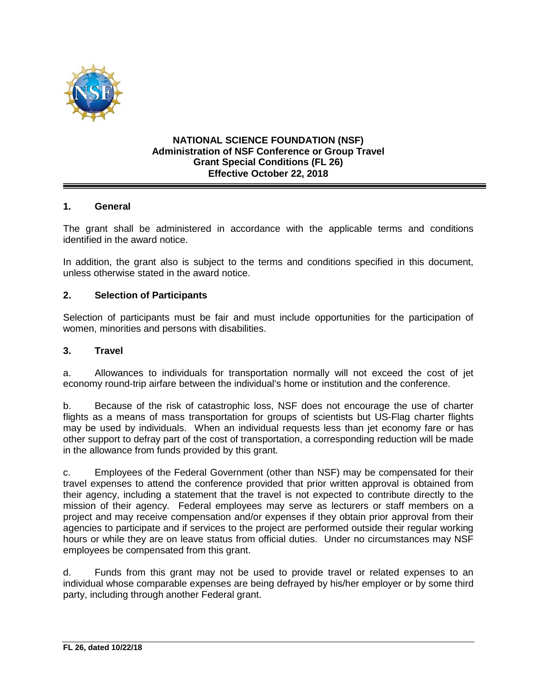

### **NATIONAL SCIENCE FOUNDATION (NSF) Administration of NSF Conference or Group Travel Grant Special Conditions (FL 26) Effective October 22, 2018**

## **1. General**

The grant shall be administered in accordance with the applicable terms and conditions identified in the award notice.

In addition, the grant also is subject to the terms and conditions specified in this document, unless otherwise stated in the award notice.

#### **2. Selection of Participants**

Selection of participants must be fair and must include opportunities for the participation of women, minorities and persons with disabilities.

#### **3. Travel**

a. Allowances to individuals for transportation normally will not exceed the cost of jet economy round-trip airfare between the individual's home or institution and the conference.

b. Because of the risk of catastrophic loss, NSF does not encourage the use of charter flights as a means of mass transportation for groups of scientists but US-Flag charter flights may be used by individuals. When an individual requests less than jet economy fare or has other support to defray part of the cost of transportation, a corresponding reduction will be made in the allowance from funds provided by this grant.

c. Employees of the Federal Government (other than NSF) may be compensated for their travel expenses to attend the conference provided that prior written approval is obtained from their agency, including a statement that the travel is not expected to contribute directly to the mission of their agency. Federal employees may serve as lecturers or staff members on a project and may receive compensation and/or expenses if they obtain prior approval from their agencies to participate and if services to the project are performed outside their regular working hours or while they are on leave status from official duties. Under no circumstances may NSF employees be compensated from this grant.

d. Funds from this grant may not be used to provide travel or related expenses to an individual whose comparable expenses are being defrayed by his/her employer or by some third party, including through another Federal grant.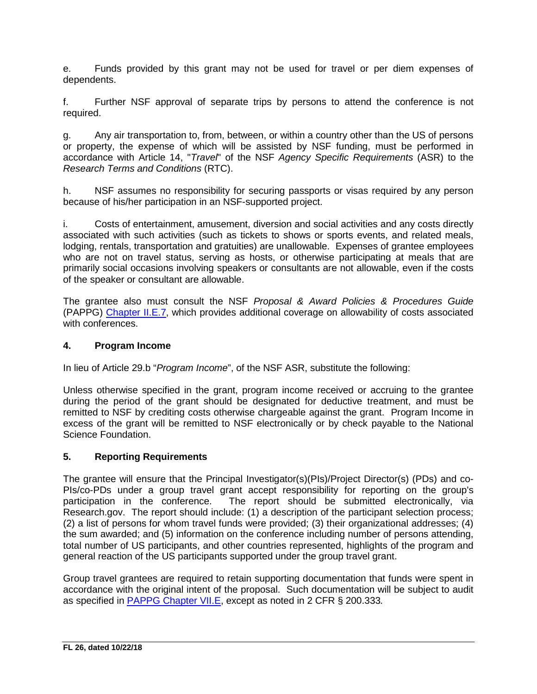e. Funds provided by this grant may not be used for travel or per diem expenses of dependents.

f. Further NSF approval of separate trips by persons to attend the conference is not required.

g. Any air transportation to, from, between, or within a country other than the US of persons or property, the expense of which will be assisted by NSF funding, must be performed in accordance with Article 14, "*Travel*" of the NSF *Agency Specific Requirements* (ASR) to the *Research Terms and Conditions* (RTC).

h. NSF assumes no responsibility for securing passports or visas required by any person because of his/her participation in an NSF-supported project.

i. Costs of entertainment, amusement, diversion and social activities and any costs directly associated with such activities (such as tickets to shows or sports events, and related meals, lodging, rentals, transportation and gratuities) are unallowable. Expenses of grantee employees who are not on travel status, serving as hosts, or otherwise participating at meals that are primarily social occasions involving speakers or consultants are not allowable, even if the costs of the speaker or consultant are allowable.

The grantee also must consult the NSF *Proposal & Award Policies & Procedures Guide* (PAPPG) [Chapter II.E.7,](https://nsf.gov/pubs/policydocs/pappg18_1/pappg_2.jsp#IIE7) which provides additional coverage on allowability of costs associated with conferences.

## **4. Program Income**

In lieu of Article 29.b "*Program Income*", of the NSF ASR, substitute the following:

Unless otherwise specified in the grant, program income received or accruing to the grantee during the period of the grant should be designated for deductive treatment, and must be remitted to NSF by crediting costs otherwise chargeable against the grant. Program Income in excess of the grant will be remitted to NSF electronically or by check payable to the National Science Foundation.

## **5. Reporting Requirements**

The grantee will ensure that the Principal Investigator(s)(PIs)/Project Director(s) (PDs) and co-PIs/co-PDs under a group travel grant accept responsibility for reporting on the group's participation in the conference. The report should be submitted electronically, via The report should be submitted electronically, via Research.gov. The report should include: (1) a description of the participant selection process; (2) a list of persons for whom travel funds were provided; (3) their organizational addresses; (4) the sum awarded; and (5) information on the conference including number of persons attending, total number of US participants, and other countries represented, highlights of the program and general reaction of the US participants supported under the group travel grant.

Group travel grantees are required to retain supporting documentation that funds were spent in accordance with the original intent of the proposal. Such documentation will be subject to audit as specified in [PAPPG Chapter VII.E,](https://nsf.gov/pubs/policydocs/pappg18_1/pappg_7.jsp#VIIE) except as noted in 2 CFR § 200.333*.*